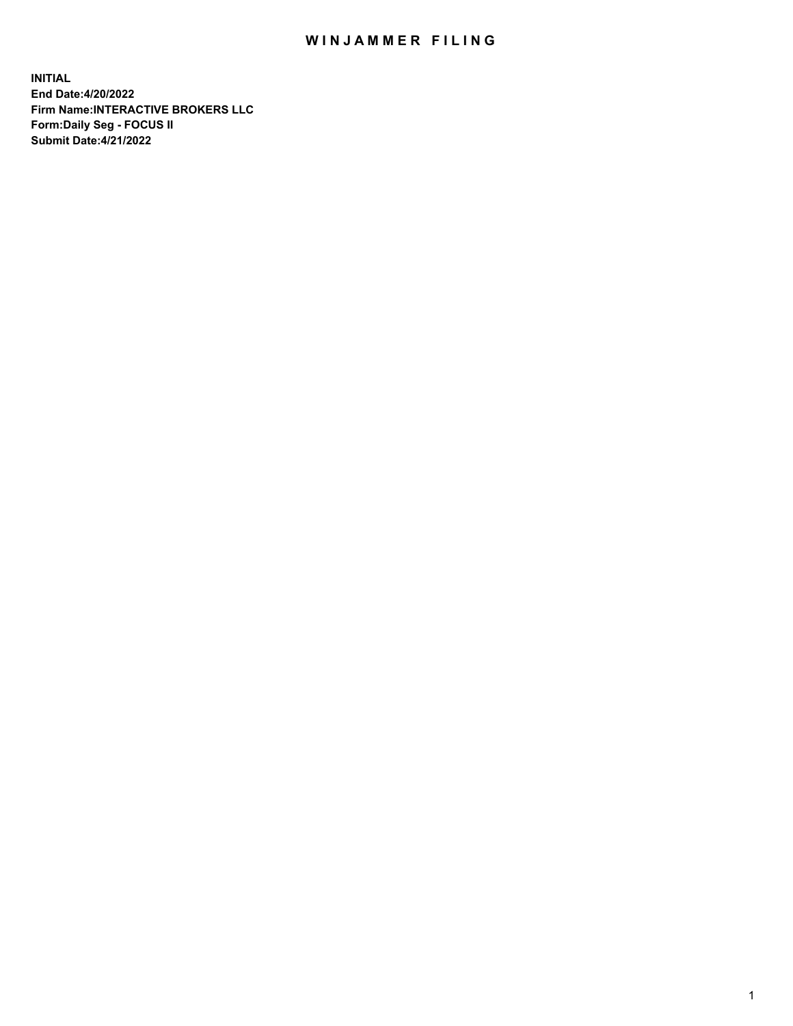## WIN JAMMER FILING

**INITIAL End Date:4/20/2022 Firm Name:INTERACTIVE BROKERS LLC Form:Daily Seg - FOCUS II Submit Date:4/21/2022**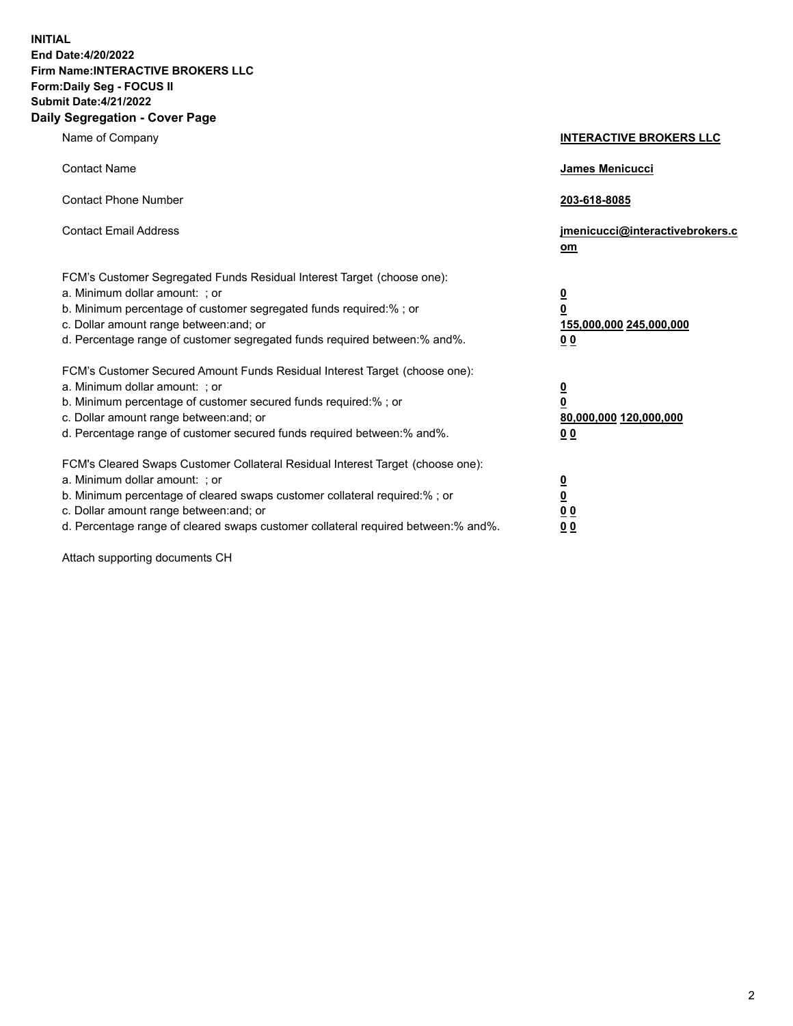**INITIAL End Date:4/20/2022 Firm Name:INTERACTIVE BROKERS LLC Form:Daily Seg - FOCUS II Submit Date:4/21/2022 Daily Segregation - Cover Page**

| Name of Company                                                                                                                                                                                                                                                                                                                | <b>INTERACTIVE BROKERS LLC</b>                                                   |
|--------------------------------------------------------------------------------------------------------------------------------------------------------------------------------------------------------------------------------------------------------------------------------------------------------------------------------|----------------------------------------------------------------------------------|
| <b>Contact Name</b>                                                                                                                                                                                                                                                                                                            | James Menicucci                                                                  |
| <b>Contact Phone Number</b>                                                                                                                                                                                                                                                                                                    | 203-618-8085                                                                     |
| <b>Contact Email Address</b>                                                                                                                                                                                                                                                                                                   | jmenicucci@interactivebrokers.c<br>om                                            |
| FCM's Customer Segregated Funds Residual Interest Target (choose one):<br>a. Minimum dollar amount: ; or<br>b. Minimum percentage of customer segregated funds required:% ; or<br>c. Dollar amount range between: and; or<br>d. Percentage range of customer segregated funds required between: % and %.                       | <u>0</u><br>$\overline{\mathbf{0}}$<br>155,000,000 245,000,000<br>0 <sub>0</sub> |
| FCM's Customer Secured Amount Funds Residual Interest Target (choose one):<br>a. Minimum dollar amount: ; or<br>b. Minimum percentage of customer secured funds required:% ; or<br>c. Dollar amount range between: and; or<br>d. Percentage range of customer secured funds required between:% and%.                           | <u>0</u><br>$\overline{\mathbf{0}}$<br>80,000,000 120,000,000<br>00              |
| FCM's Cleared Swaps Customer Collateral Residual Interest Target (choose one):<br>a. Minimum dollar amount: ; or<br>b. Minimum percentage of cleared swaps customer collateral required:% ; or<br>c. Dollar amount range between: and; or<br>d. Percentage range of cleared swaps customer collateral required between:% and%. | <u>0</u><br>$\underline{\mathbf{0}}$<br>0 <sub>0</sub><br>0 <sub>0</sub>         |

Attach supporting documents CH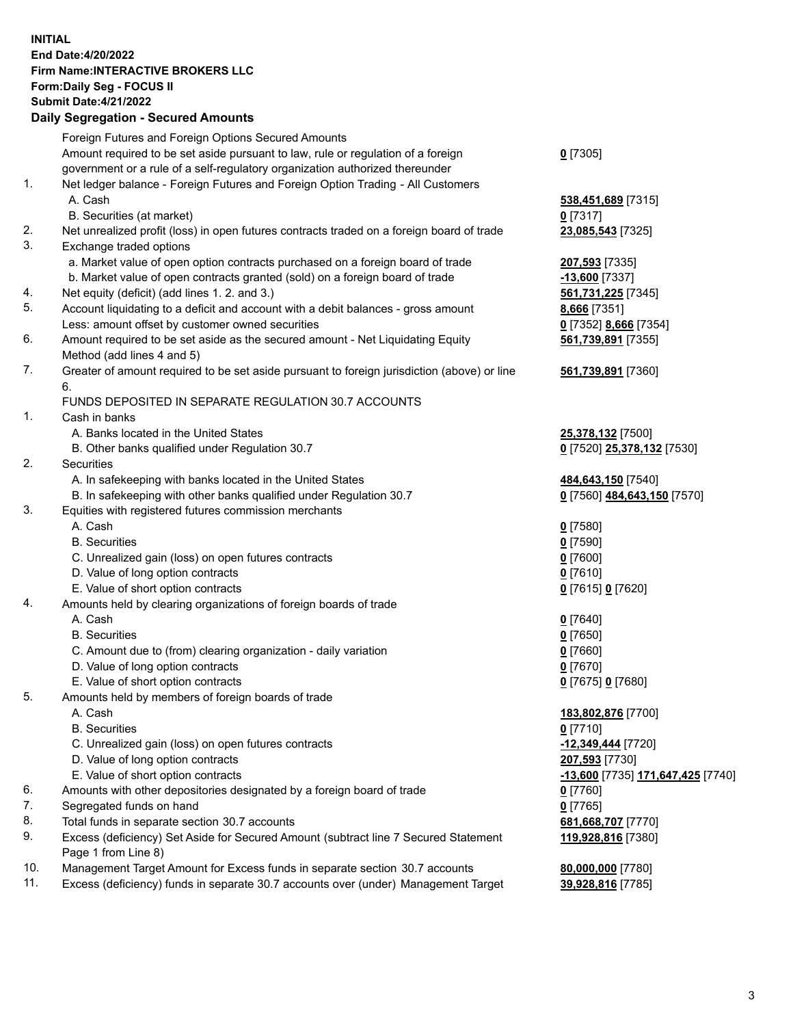**INITIAL End Date:4/20/2022 Firm Name:INTERACTIVE BROKERS LLC Form:Daily Seg - FOCUS II Submit Date:4/21/2022 Daily Segregation - Secured Amounts**

|                | <u>ssentanten soodisatunsen m</u>                                                                          |                                   |
|----------------|------------------------------------------------------------------------------------------------------------|-----------------------------------|
|                | Foreign Futures and Foreign Options Secured Amounts                                                        |                                   |
|                | Amount required to be set aside pursuant to law, rule or regulation of a foreign                           | $0$ [7305]                        |
|                | government or a rule of a self-regulatory organization authorized thereunder                               |                                   |
| $\mathbf{1}$ . | Net ledger balance - Foreign Futures and Foreign Option Trading - All Customers                            |                                   |
|                | A. Cash                                                                                                    | 538,451,689 [7315]                |
|                | B. Securities (at market)                                                                                  | $0$ [7317]                        |
| 2.             | Net unrealized profit (loss) in open futures contracts traded on a foreign board of trade                  | 23,085,543 [7325]                 |
| 3.             | Exchange traded options                                                                                    |                                   |
|                | a. Market value of open option contracts purchased on a foreign board of trade                             | 207,593 [7335]                    |
|                | b. Market value of open contracts granted (sold) on a foreign board of trade                               | $-13,600$ [7337]                  |
| 4.             | Net equity (deficit) (add lines 1. 2. and 3.)                                                              | 561,731,225 [7345]                |
| 5.             | Account liquidating to a deficit and account with a debit balances - gross amount                          | 8,666 [7351]                      |
|                | Less: amount offset by customer owned securities                                                           | 0 [7352] 8,666 [7354]             |
| 6.             | Amount required to be set aside as the secured amount - Net Liquidating Equity                             | 561,739,891 [7355]                |
|                | Method (add lines 4 and 5)                                                                                 |                                   |
| 7.             | Greater of amount required to be set aside pursuant to foreign jurisdiction (above) or line<br>6.          | 561,739,891 [7360]                |
|                | FUNDS DEPOSITED IN SEPARATE REGULATION 30.7 ACCOUNTS                                                       |                                   |
| $\mathbf{1}$ . | Cash in banks                                                                                              |                                   |
|                | A. Banks located in the United States                                                                      | 25,378,132 [7500]                 |
|                | B. Other banks qualified under Regulation 30.7                                                             | 0 [7520] 25,378,132 [7530]        |
| 2.             | Securities                                                                                                 |                                   |
|                | A. In safekeeping with banks located in the United States                                                  | 484,643,150 [7540]                |
|                | B. In safekeeping with other banks qualified under Regulation 30.7                                         | 0 [7560] 484,643,150 [7570]       |
| 3.             | Equities with registered futures commission merchants                                                      |                                   |
|                | A. Cash                                                                                                    | $0$ [7580]                        |
|                | <b>B.</b> Securities                                                                                       | $0$ [7590]                        |
|                | C. Unrealized gain (loss) on open futures contracts                                                        | $0$ [7600]                        |
|                | D. Value of long option contracts                                                                          | $0$ [7610]                        |
|                | E. Value of short option contracts                                                                         | 0 [7615] 0 [7620]                 |
| 4.             | Amounts held by clearing organizations of foreign boards of trade                                          |                                   |
|                | A. Cash                                                                                                    | $0$ [7640]                        |
|                | <b>B.</b> Securities                                                                                       | $0$ [7650]                        |
|                | C. Amount due to (from) clearing organization - daily variation                                            | $0$ [7660]                        |
|                | D. Value of long option contracts                                                                          | $0$ [7670]                        |
|                | E. Value of short option contracts                                                                         | 0 [7675] 0 [7680]                 |
| 5.             | Amounts held by members of foreign boards of trade                                                         |                                   |
|                | A. Cash                                                                                                    | 183,802,876 [7700]                |
|                | <b>B.</b> Securities                                                                                       | $0$ [7710]                        |
|                | C. Unrealized gain (loss) on open futures contracts                                                        | -12,349,444 [7720]                |
|                | D. Value of long option contracts                                                                          | <b>207,593</b> [7730]             |
|                | E. Value of short option contracts                                                                         | -13,600 [7735] 171,647,425 [7740] |
| 6.             | Amounts with other depositories designated by a foreign board of trade                                     | $0$ [7760]                        |
| 7.             | Segregated funds on hand                                                                                   | $0$ [7765]                        |
| 8.             | Total funds in separate section 30.7 accounts                                                              | 681,668,707 [7770]                |
| 9.             | Excess (deficiency) Set Aside for Secured Amount (subtract line 7 Secured Statement<br>Page 1 from Line 8) | 119,928,816 [7380]                |
| 10.            | Management Target Amount for Excess funds in separate section 30.7 accounts                                | 80,000,000 [7780]                 |
| 11.            | Excess (deficiency) funds in separate 30.7 accounts over (under) Management Target                         | 39,928,816 [7785]                 |
|                |                                                                                                            |                                   |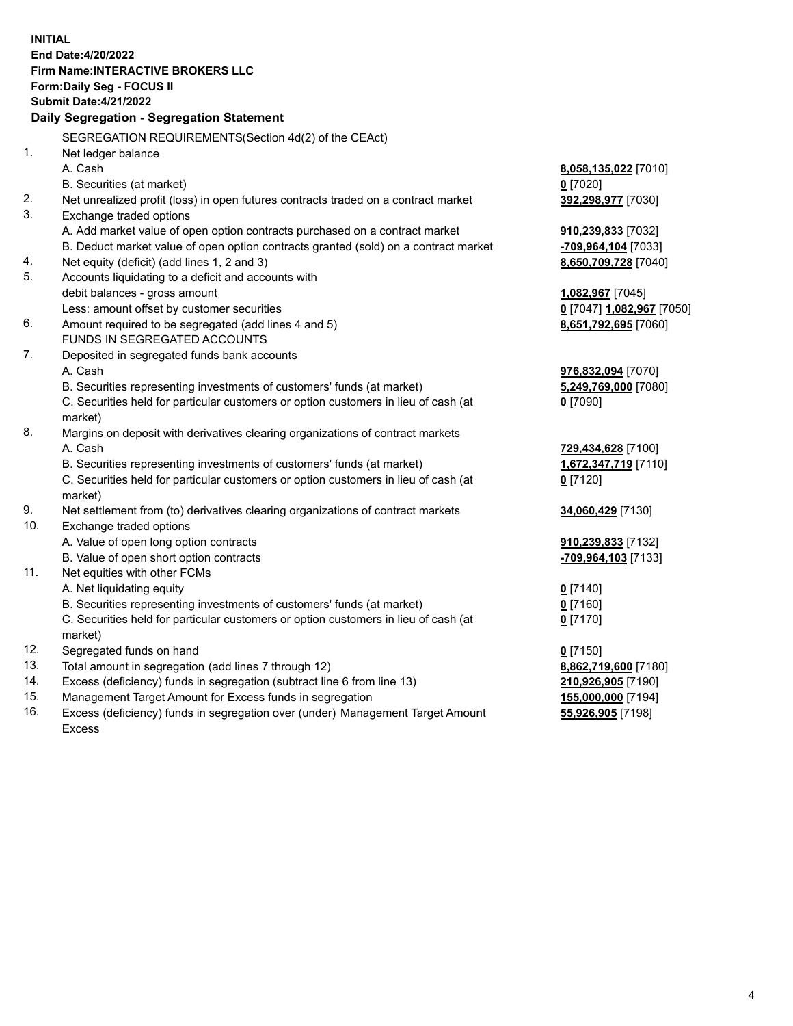**INITIAL End Date:4/20/2022 Firm Name:INTERACTIVE BROKERS LLC Form:Daily Seg - FOCUS II Submit Date:4/21/2022 Daily Segregation - Segregation Statement** SEGREGATION REQUIREMENTS(Section 4d(2) of the CEAct) 1. Net ledger balance A. Cash **8,058,135,022** [7010] B. Securities (at market) **0** [7020] 2. Net unrealized profit (loss) in open futures contracts traded on a contract market **392,298,977** [7030] 3. Exchange traded options A. Add market value of open option contracts purchased on a contract market **910,239,833** [7032] B. Deduct market value of open option contracts granted (sold) on a contract market **-709,964,104** [7033] 4. Net equity (deficit) (add lines 1, 2 and 3) **8,650,709,728** [7040] 5. Accounts liquidating to a deficit and accounts with debit balances - gross amount **1,082,967** [7045] Less: amount offset by customer securities **0** [7047] **1,082,967** [7050] 6. Amount required to be segregated (add lines 4 and 5) **8,651,792,695** [7060] FUNDS IN SEGREGATED ACCOUNTS 7. Deposited in segregated funds bank accounts A. Cash **976,832,094** [7070] B. Securities representing investments of customers' funds (at market) **5,249,769,000** [7080] C. Securities held for particular customers or option customers in lieu of cash (at market) **0** [7090] 8. Margins on deposit with derivatives clearing organizations of contract markets A. Cash **729,434,628** [7100] B. Securities representing investments of customers' funds (at market) **1,672,347,719** [7110] C. Securities held for particular customers or option customers in lieu of cash (at market) **0** [7120] 9. Net settlement from (to) derivatives clearing organizations of contract markets **34,060,429** [7130] 10. Exchange traded options A. Value of open long option contracts **910,239,833** [7132] B. Value of open short option contracts **-709,964,103** [7133] 11. Net equities with other FCMs A. Net liquidating equity **0** [7140] B. Securities representing investments of customers' funds (at market) **0** [7160] C. Securities held for particular customers or option customers in lieu of cash (at market) **0** [7170] 12. Segregated funds on hand **0** [7150] 13. Total amount in segregation (add lines 7 through 12) **8,862,719,600** [7180] 14. Excess (deficiency) funds in segregation (subtract line 6 from line 13) **210,926,905** [7190] 15. Management Target Amount for Excess funds in segregation **155,000,000** [7194] **55,926,905** [7198]

16. Excess (deficiency) funds in segregation over (under) Management Target Amount Excess